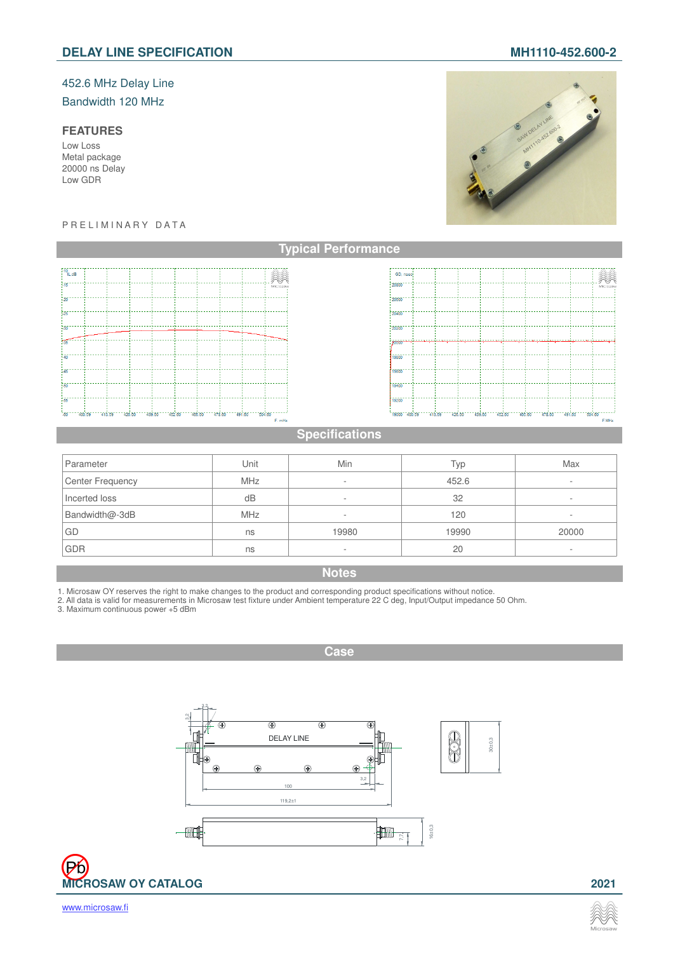# 452.6 MHz Delay Line

Bandwidth 120 MHz

# **FEATURES**

Low Loss Metal package 20000 ns Delay Low GDR

#### P R E L I M I N A R Y D A T A



# **Specifications**

**Typical Performance**

. . . . . .<br>GD, n

.<br>20800.

.<br>20400.

eni

.<br>Gebo .<br>19400

.<br>Contro

.<br>19000 <sup>-</sup>

 $-400.59$ 

 $-426.85$ 

| Parameter        | Unit       | Min                      | Typ   | Max    |
|------------------|------------|--------------------------|-------|--------|
| Center Frequency | <b>MHz</b> | $\sim$                   | 452.6 |        |
| Incerted loss    | dB         | -                        | 32    | ۰.     |
| Bandwidth@-3dB   | <b>MHz</b> | -                        | 120   | $\sim$ |
| GD               | ns         | 19980                    | 19990 | 20000  |
| <b>GDR</b>       | ns         | $\overline{\phantom{a}}$ | 20    |        |

# **Notes**

1. Microsaw OY reserves the right to make changes to the product and corresponding product specifications without notice.<br>2. All data is valid for measurements in Microsaw test fixture under Ambient temperature 22 C deg, I

3. Maximum continuous power +5 dBm

**Case**



'Pb **MICROSAW OY CATALOG 2021**



----439.66" --- 462.60" -- 486.60" --- 478.66" --- 491.60" ---

. . . . . .

504.60 F.MHz



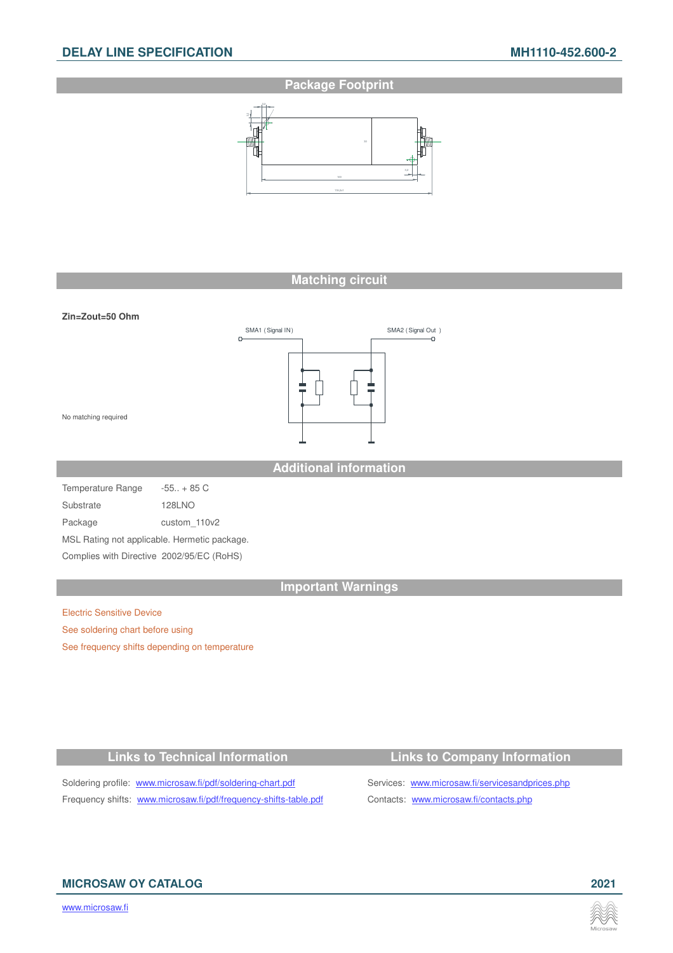# **Package Footprint**



# **Matching circuit**



**Additional information**

Temperature Range -55.. + 85 C Substrate 128LNO Package custom 110v2 MSL Rating not applicable. Hermetic package. Complies with Directive 2002/95/EC (RoHS)

#### **Important Warnings**

Electric Sensitive Device See soldering chart before using See frequency shifts depending on temperature

### **Links to Technical Information Links to Company Information**

## Soldering profile: www.microsaw.fi/pdf/soldering-chart.pdf Services: www.microsaw.fi/servicesandprices.php Frequency shifts: www.microsaw.fi/pdf/frequency-shifts-table.pdf Contacts: www.microsaw.fi/contacts.php

# **MICROSAW OY CATALOG 2021**